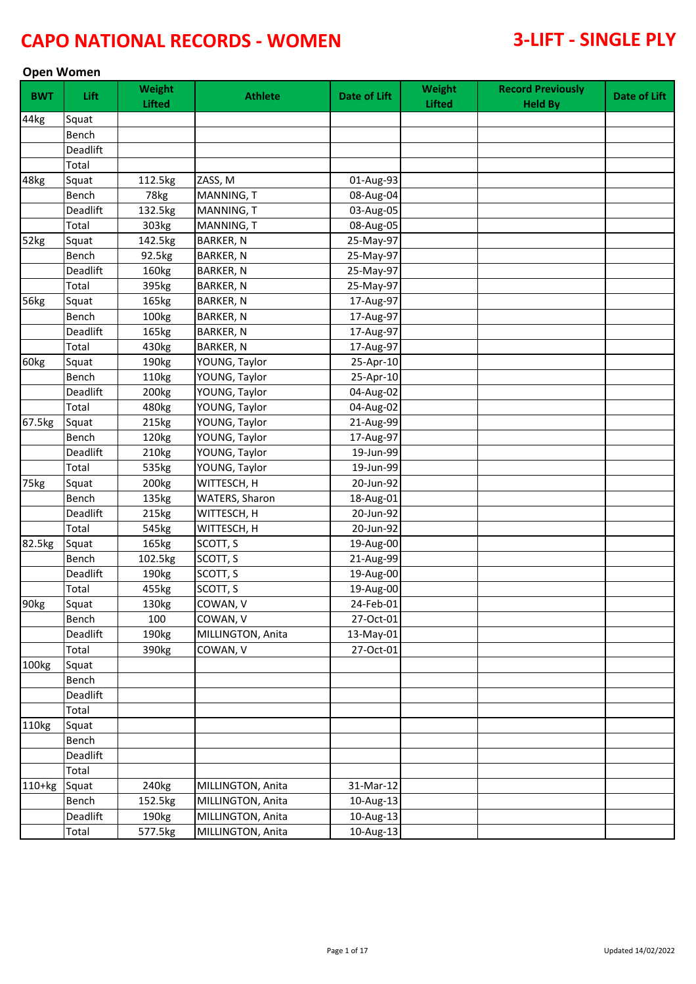### **Open Women**

| <b>BWT</b> | Lift     | Weight<br><b>Lifted</b> | <b>Athlete</b>    | <b>Date of Lift</b> | Weight<br><b>Lifted</b> | <b>Record Previously</b><br><b>Held By</b> | Date of Lift |
|------------|----------|-------------------------|-------------------|---------------------|-------------------------|--------------------------------------------|--------------|
| 44kg       | Squat    |                         |                   |                     |                         |                                            |              |
|            | Bench    |                         |                   |                     |                         |                                            |              |
|            | Deadlift |                         |                   |                     |                         |                                            |              |
|            | Total    |                         |                   |                     |                         |                                            |              |
| 48kg       | Squat    | 112.5kg                 | ZASS, M           | 01-Aug-93           |                         |                                            |              |
|            | Bench    | 78kg                    | MANNING, T        | 08-Aug-04           |                         |                                            |              |
|            | Deadlift | 132.5kg                 | MANNING, T        | 03-Aug-05           |                         |                                            |              |
|            | Total    | 303kg                   | MANNING, T        | 08-Aug-05           |                         |                                            |              |
| 52kg       | Squat    | 142.5kg                 | <b>BARKER, N</b>  | 25-May-97           |                         |                                            |              |
|            | Bench    | 92.5kg                  | <b>BARKER, N</b>  | 25-May-97           |                         |                                            |              |
|            | Deadlift | 160kg                   | <b>BARKER, N</b>  | 25-May-97           |                         |                                            |              |
|            | Total    | 395kg                   | <b>BARKER, N</b>  | 25-May-97           |                         |                                            |              |
| 56kg       | Squat    | 165kg                   | <b>BARKER, N</b>  | 17-Aug-97           |                         |                                            |              |
|            | Bench    | 100kg                   | <b>BARKER, N</b>  | 17-Aug-97           |                         |                                            |              |
|            | Deadlift | 165kg                   | <b>BARKER, N</b>  | 17-Aug-97           |                         |                                            |              |
|            | Total    | 430kg                   | <b>BARKER, N</b>  | 17-Aug-97           |                         |                                            |              |
| 60kg       | Squat    | 190kg                   | YOUNG, Taylor     | 25-Apr-10           |                         |                                            |              |
|            | Bench    | 110kg                   | YOUNG, Taylor     | 25-Apr-10           |                         |                                            |              |
|            | Deadlift | 200kg                   | YOUNG, Taylor     | 04-Aug-02           |                         |                                            |              |
|            | Total    | 480kg                   | YOUNG, Taylor     | 04-Aug-02           |                         |                                            |              |
| 67.5kg     | Squat    | 215kg                   | YOUNG, Taylor     | 21-Aug-99           |                         |                                            |              |
|            | Bench    | 120kg                   | YOUNG, Taylor     | 17-Aug-97           |                         |                                            |              |
|            | Deadlift | 210kg                   | YOUNG, Taylor     | 19-Jun-99           |                         |                                            |              |
|            | Total    | 535kg                   | YOUNG, Taylor     | 19-Jun-99           |                         |                                            |              |
| 75kg       | Squat    | 200kg                   | WITTESCH, H       | 20-Jun-92           |                         |                                            |              |
|            | Bench    | 135kg                   | WATERS, Sharon    | 18-Aug-01           |                         |                                            |              |
|            | Deadlift | 215kg                   | WITTESCH, H       | 20-Jun-92           |                         |                                            |              |
|            | Total    | 545kg                   | WITTESCH, H       | 20-Jun-92           |                         |                                            |              |
| 82.5kg     | Squat    | 165kg                   | SCOTT, S          | 19-Aug-00           |                         |                                            |              |
|            | Bench    | 102.5kg                 | SCOTT, S          | 21-Aug-99           |                         |                                            |              |
|            | Deadlift | 190kg                   | SCOTT, S          | 19-Aug-00           |                         |                                            |              |
|            | Total    | 455kg                   | SCOTT, S          | 19-Aug-00           |                         |                                            |              |
| 90kg       | Squat    | 130kg                   | COWAN, V          | 24-Feb-01           |                         |                                            |              |
|            | Bench    | 100                     | COWAN, V          | 27-Oct-01           |                         |                                            |              |
|            | Deadlift | 190kg                   | MILLINGTON, Anita | 13-May-01           |                         |                                            |              |
|            | Total    | 390kg                   | COWAN, V          | 27-Oct-01           |                         |                                            |              |
| 100kg      | Squat    |                         |                   |                     |                         |                                            |              |
|            | Bench    |                         |                   |                     |                         |                                            |              |
|            | Deadlift |                         |                   |                     |                         |                                            |              |
|            | Total    |                         |                   |                     |                         |                                            |              |
| 110kg      | Squat    |                         |                   |                     |                         |                                            |              |
|            | Bench    |                         |                   |                     |                         |                                            |              |
|            | Deadlift |                         |                   |                     |                         |                                            |              |
|            | Total    |                         |                   |                     |                         |                                            |              |
| $110+kg$   | Squat    | 240kg                   | MILLINGTON, Anita | 31-Mar-12           |                         |                                            |              |
|            | Bench    | 152.5kg                 | MILLINGTON, Anita | 10-Aug-13           |                         |                                            |              |
|            | Deadlift | 190kg                   | MILLINGTON, Anita | 10-Aug-13           |                         |                                            |              |
|            | Total    | 577.5kg                 | MILLINGTON, Anita | 10-Aug-13           |                         |                                            |              |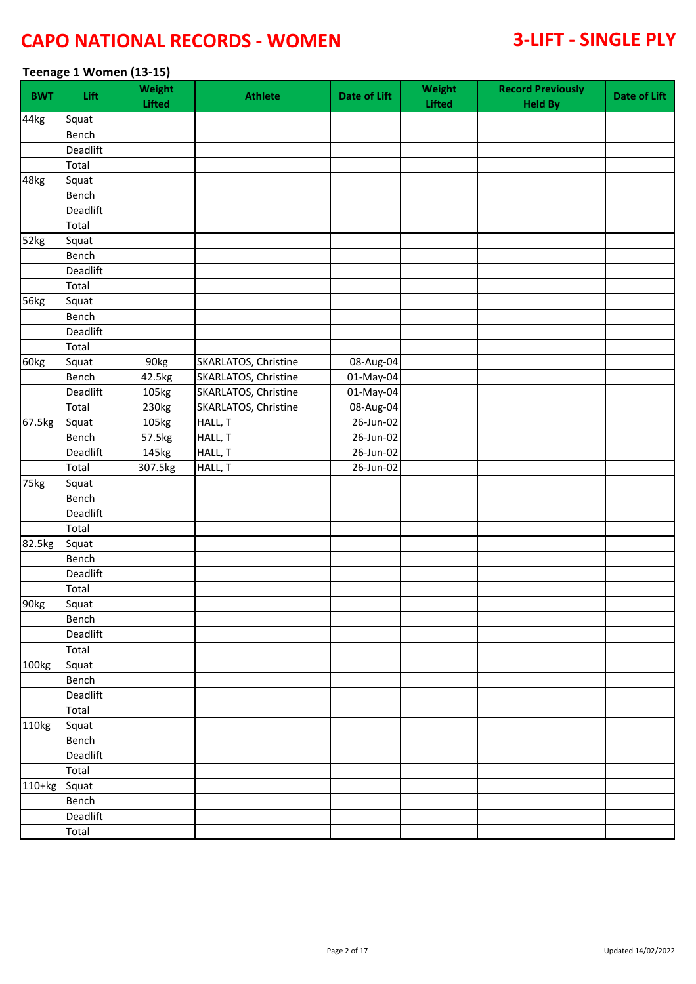### **Teenage 1 Women (13-15)**

| <b>BWT</b> | <b>Lift</b> | Weight<br><b>Lifted</b> | <b>Athlete</b>       | Date of Lift | Weight<br>Lifted | <b>Record Previously</b><br><b>Held By</b> | Date of Lift |
|------------|-------------|-------------------------|----------------------|--------------|------------------|--------------------------------------------|--------------|
| 44kg       | Squat       |                         |                      |              |                  |                                            |              |
|            | Bench       |                         |                      |              |                  |                                            |              |
|            | Deadlift    |                         |                      |              |                  |                                            |              |
|            | Total       |                         |                      |              |                  |                                            |              |
| 48kg       | Squat       |                         |                      |              |                  |                                            |              |
|            | Bench       |                         |                      |              |                  |                                            |              |
|            | Deadlift    |                         |                      |              |                  |                                            |              |
|            | Total       |                         |                      |              |                  |                                            |              |
| 52kg       | Squat       |                         |                      |              |                  |                                            |              |
|            | Bench       |                         |                      |              |                  |                                            |              |
|            | Deadlift    |                         |                      |              |                  |                                            |              |
|            | Total       |                         |                      |              |                  |                                            |              |
| 56kg       | Squat       |                         |                      |              |                  |                                            |              |
|            | Bench       |                         |                      |              |                  |                                            |              |
|            | Deadlift    |                         |                      |              |                  |                                            |              |
|            | Total       |                         |                      |              |                  |                                            |              |
| 60kg       | Squat       | 90kg                    | SKARLATOS, Christine | 08-Aug-04    |                  |                                            |              |
|            | Bench       | 42.5kg                  | SKARLATOS, Christine | 01-May-04    |                  |                                            |              |
|            | Deadlift    | 105kg                   | SKARLATOS, Christine | 01-May-04    |                  |                                            |              |
|            | Total       | 230kg                   | SKARLATOS, Christine | 08-Aug-04    |                  |                                            |              |
| 67.5kg     | Squat       | 105kg                   | HALL, T              | 26-Jun-02    |                  |                                            |              |
|            | Bench       | 57.5kg                  | HALL, T              | 26-Jun-02    |                  |                                            |              |
|            | Deadlift    | 145kg                   | HALL, T              | 26-Jun-02    |                  |                                            |              |
|            | Total       | 307.5kg                 | HALL, T              | 26-Jun-02    |                  |                                            |              |
| 75kg       | Squat       |                         |                      |              |                  |                                            |              |
|            | Bench       |                         |                      |              |                  |                                            |              |
|            | Deadlift    |                         |                      |              |                  |                                            |              |
|            | Total       |                         |                      |              |                  |                                            |              |
| 82.5kg     | Squat       |                         |                      |              |                  |                                            |              |
|            | Bench       |                         |                      |              |                  |                                            |              |
|            | Deadlift    |                         |                      |              |                  |                                            |              |
|            | Total       |                         |                      |              |                  |                                            |              |
| 90kg       | Squat       |                         |                      |              |                  |                                            |              |
|            | Bench       |                         |                      |              |                  |                                            |              |
|            | Deadlift    |                         |                      |              |                  |                                            |              |
|            | Total       |                         |                      |              |                  |                                            |              |
| 100kg      | Squat       |                         |                      |              |                  |                                            |              |
|            | Bench       |                         |                      |              |                  |                                            |              |
|            |             |                         |                      |              |                  |                                            |              |
|            | Deadlift    |                         |                      |              |                  |                                            |              |
|            | Total       |                         |                      |              |                  |                                            |              |
| 110kg      | Squat       |                         |                      |              |                  |                                            |              |
|            | Bench       |                         |                      |              |                  |                                            |              |
|            | Deadlift    |                         |                      |              |                  |                                            |              |
|            | Total       |                         |                      |              |                  |                                            |              |
| 110+kg     | Squat       |                         |                      |              |                  |                                            |              |
|            | Bench       |                         |                      |              |                  |                                            |              |
|            | Deadlift    |                         |                      |              |                  |                                            |              |
|            | Total       |                         |                      |              |                  |                                            |              |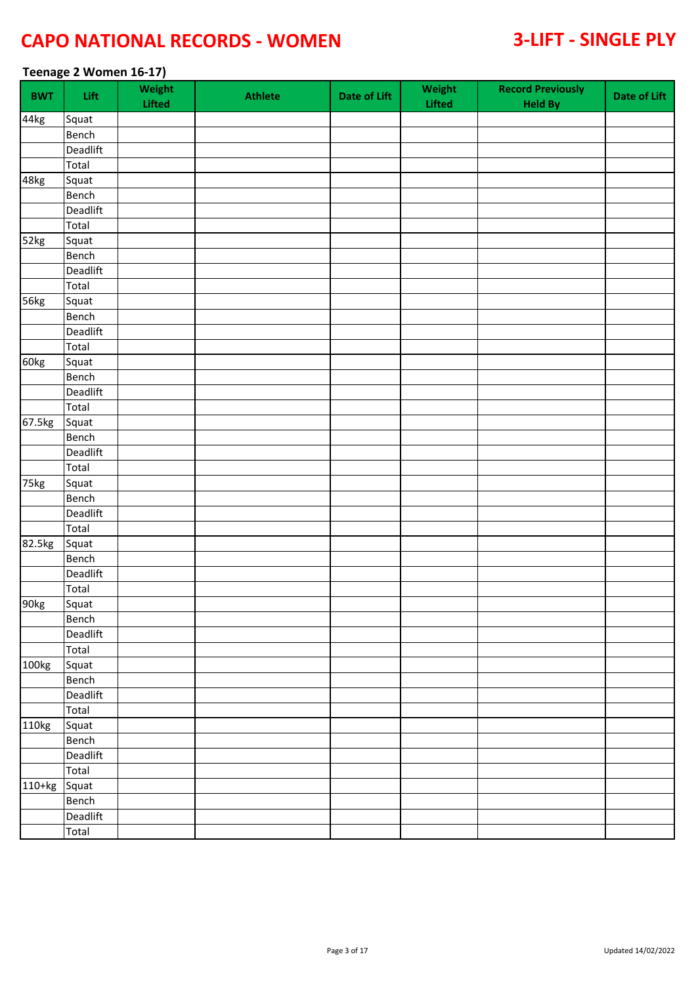### **Teenage 2 Women 16-17)**

| <b>BWT</b> | Lift     | Weight<br>Lifted | <b>Athlete</b> | <b>Date of Lift</b> | Weight<br>Lifted | <b>Record Previously</b><br><b>Held By</b> | Date of Lift |
|------------|----------|------------------|----------------|---------------------|------------------|--------------------------------------------|--------------|
| 44kg       | Squat    |                  |                |                     |                  |                                            |              |
|            | Bench    |                  |                |                     |                  |                                            |              |
|            | Deadlift |                  |                |                     |                  |                                            |              |
|            | Total    |                  |                |                     |                  |                                            |              |
| 48kg       | Squat    |                  |                |                     |                  |                                            |              |
|            | Bench    |                  |                |                     |                  |                                            |              |
|            | Deadlift |                  |                |                     |                  |                                            |              |
|            | Total    |                  |                |                     |                  |                                            |              |
| 52kg       | Squat    |                  |                |                     |                  |                                            |              |
|            | Bench    |                  |                |                     |                  |                                            |              |
|            | Deadlift |                  |                |                     |                  |                                            |              |
|            | Total    |                  |                |                     |                  |                                            |              |
| 56kg       | Squat    |                  |                |                     |                  |                                            |              |
|            | Bench    |                  |                |                     |                  |                                            |              |
|            | Deadlift |                  |                |                     |                  |                                            |              |
|            | Total    |                  |                |                     |                  |                                            |              |
| 60kg       | Squat    |                  |                |                     |                  |                                            |              |
|            | Bench    |                  |                |                     |                  |                                            |              |
|            | Deadlift |                  |                |                     |                  |                                            |              |
|            | Total    |                  |                |                     |                  |                                            |              |
| 67.5kg     | Squat    |                  |                |                     |                  |                                            |              |
|            | Bench    |                  |                |                     |                  |                                            |              |
|            | Deadlift |                  |                |                     |                  |                                            |              |
|            | Total    |                  |                |                     |                  |                                            |              |
| 75kg       | Squat    |                  |                |                     |                  |                                            |              |
|            | Bench    |                  |                |                     |                  |                                            |              |
|            | Deadlift |                  |                |                     |                  |                                            |              |
|            | Total    |                  |                |                     |                  |                                            |              |
| 82.5kg     | Squat    |                  |                |                     |                  |                                            |              |
|            | Bench    |                  |                |                     |                  |                                            |              |
|            | Deadlift |                  |                |                     |                  |                                            |              |
|            | Total    |                  |                |                     |                  |                                            |              |
| 90kg       | Squat    |                  |                |                     |                  |                                            |              |
|            | Bench    |                  |                |                     |                  |                                            |              |
|            | Deadlift |                  |                |                     |                  |                                            |              |
|            | Total    |                  |                |                     |                  |                                            |              |
|            |          |                  |                |                     |                  |                                            |              |
| 100kg      | Squat    |                  |                |                     |                  |                                            |              |
|            | Bench    |                  |                |                     |                  |                                            |              |
|            | Deadlift |                  |                |                     |                  |                                            |              |
|            | Total    |                  |                |                     |                  |                                            |              |
| 110kg      | Squat    |                  |                |                     |                  |                                            |              |
|            | Bench    |                  |                |                     |                  |                                            |              |
|            | Deadlift |                  |                |                     |                  |                                            |              |
|            | Total    |                  |                |                     |                  |                                            |              |
| 110+kg     | Squat    |                  |                |                     |                  |                                            |              |
|            | Bench    |                  |                |                     |                  |                                            |              |
|            | Deadlift |                  |                |                     |                  |                                            |              |
|            | Total    |                  |                |                     |                  |                                            |              |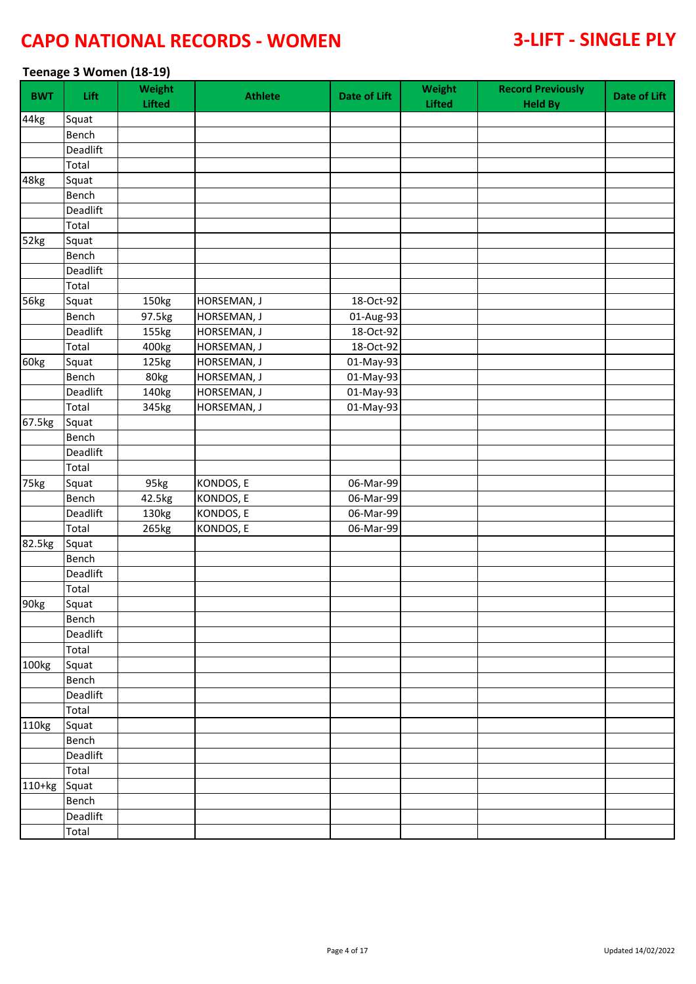### **Teenage 3 Women (18-19)**

| <b>BWT</b> | Lift     | Weight<br><b>Lifted</b> | <b>Athlete</b> | <b>Date of Lift</b> | Weight<br>Lifted | <b>Record Previously</b><br><b>Held By</b> | Date of Lift |
|------------|----------|-------------------------|----------------|---------------------|------------------|--------------------------------------------|--------------|
| 44kg       | Squat    |                         |                |                     |                  |                                            |              |
|            | Bench    |                         |                |                     |                  |                                            |              |
|            | Deadlift |                         |                |                     |                  |                                            |              |
|            | Total    |                         |                |                     |                  |                                            |              |
| 48kg       | Squat    |                         |                |                     |                  |                                            |              |
|            | Bench    |                         |                |                     |                  |                                            |              |
|            | Deadlift |                         |                |                     |                  |                                            |              |
|            | Total    |                         |                |                     |                  |                                            |              |
| 52kg       | Squat    |                         |                |                     |                  |                                            |              |
|            | Bench    |                         |                |                     |                  |                                            |              |
|            | Deadlift |                         |                |                     |                  |                                            |              |
|            | Total    |                         |                |                     |                  |                                            |              |
| 56kg       | Squat    | 150kg                   | HORSEMAN, J    | 18-Oct-92           |                  |                                            |              |
|            | Bench    | 97.5kg                  | HORSEMAN, J    | 01-Aug-93           |                  |                                            |              |
|            | Deadlift | 155kg                   | HORSEMAN, J    | 18-Oct-92           |                  |                                            |              |
|            | Total    | 400kg                   | HORSEMAN, J    | 18-Oct-92           |                  |                                            |              |
| 60kg       | Squat    | 125kg                   | HORSEMAN, J    | 01-May-93           |                  |                                            |              |
|            | Bench    | 80kg                    | HORSEMAN, J    | 01-May-93           |                  |                                            |              |
|            | Deadlift | 140kg                   | HORSEMAN, J    | 01-May-93           |                  |                                            |              |
|            | Total    | 345kg                   | HORSEMAN, J    | 01-May-93           |                  |                                            |              |
| 67.5kg     | Squat    |                         |                |                     |                  |                                            |              |
|            | Bench    |                         |                |                     |                  |                                            |              |
|            | Deadlift |                         |                |                     |                  |                                            |              |
|            | Total    |                         |                |                     |                  |                                            |              |
| 75kg       | Squat    | 95kg                    | KONDOS, E      | 06-Mar-99           |                  |                                            |              |
|            | Bench    | 42.5kg                  | KONDOS, E      | 06-Mar-99           |                  |                                            |              |
|            | Deadlift | 130kg                   | KONDOS, E      | 06-Mar-99           |                  |                                            |              |
|            | Total    | 265kg                   | KONDOS, E      | 06-Mar-99           |                  |                                            |              |
| 82.5kg     | Squat    |                         |                |                     |                  |                                            |              |
|            | Bench    |                         |                |                     |                  |                                            |              |
|            | Deadlift |                         |                |                     |                  |                                            |              |
|            | Total    |                         |                |                     |                  |                                            |              |
| 90kg       | Squat    |                         |                |                     |                  |                                            |              |
|            | Bench    |                         |                |                     |                  |                                            |              |
|            | Deadlift |                         |                |                     |                  |                                            |              |
|            | Total    |                         |                |                     |                  |                                            |              |
| 100kg      | Squat    |                         |                |                     |                  |                                            |              |
|            | Bench    |                         |                |                     |                  |                                            |              |
|            | Deadlift |                         |                |                     |                  |                                            |              |
|            | Total    |                         |                |                     |                  |                                            |              |
| 110kg      | Squat    |                         |                |                     |                  |                                            |              |
|            | Bench    |                         |                |                     |                  |                                            |              |
|            | Deadlift |                         |                |                     |                  |                                            |              |
|            | Total    |                         |                |                     |                  |                                            |              |
| 110+kg     | Squat    |                         |                |                     |                  |                                            |              |
|            | Bench    |                         |                |                     |                  |                                            |              |
|            | Deadlift |                         |                |                     |                  |                                            |              |
|            | Total    |                         |                |                     |                  |                                            |              |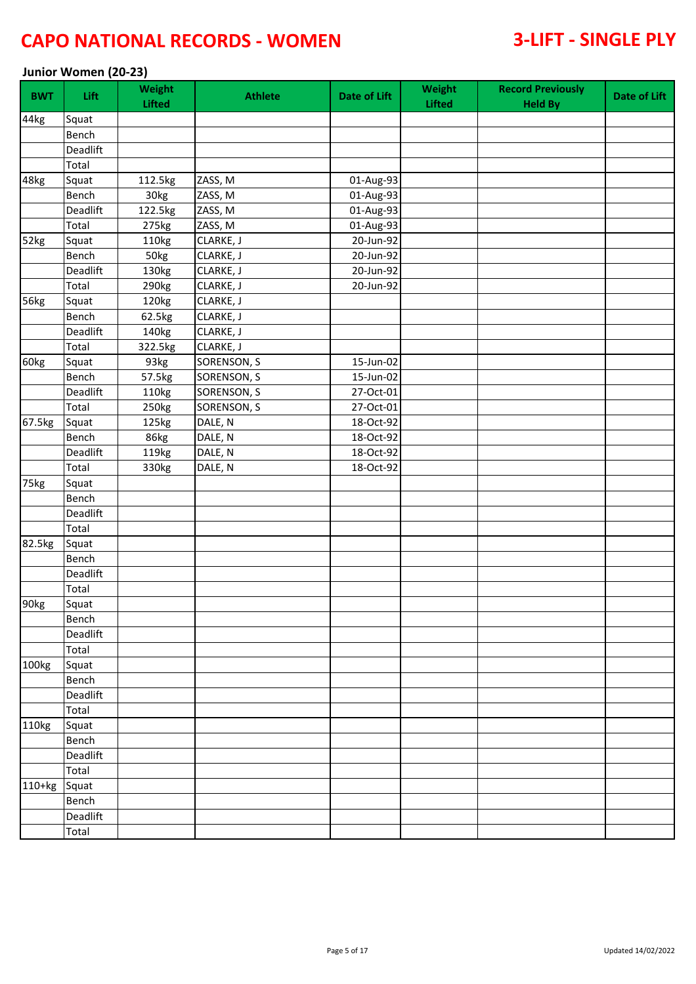### **Junior Women (20-23)**

| <b>BWT</b>       | Lift     | Weight<br><b>Lifted</b> | <b>Athlete</b> | <b>Date of Lift</b>     | Weight<br><b>Lifted</b> | <b>Record Previously</b><br><b>Held By</b> | Date of Lift |
|------------------|----------|-------------------------|----------------|-------------------------|-------------------------|--------------------------------------------|--------------|
| 44kg             | Squat    |                         |                |                         |                         |                                            |              |
|                  | Bench    |                         |                |                         |                         |                                            |              |
|                  | Deadlift |                         |                |                         |                         |                                            |              |
|                  | Total    |                         |                |                         |                         |                                            |              |
| 48kg             | Squat    | 112.5kg                 | ZASS, M        | 01-Aug-93               |                         |                                            |              |
|                  | Bench    | 30kg                    | ZASS, M        | 01-Aug-93               |                         |                                            |              |
|                  | Deadlift | 122.5kg                 | ZASS, M        | 01-Aug-93               |                         |                                            |              |
|                  | Total    | 275kg                   | ZASS, M        | 01-Aug-93               |                         |                                            |              |
| 52kg             | Squat    | 110kg                   | CLARKE, J      | $\overline{20}$ -Jun-92 |                         |                                            |              |
|                  | Bench    | 50kg                    | CLARKE, J      | 20-Jun-92               |                         |                                            |              |
|                  | Deadlift | 130kg                   | CLARKE, J      | 20-Jun-92               |                         |                                            |              |
|                  | Total    | 290kg                   | CLARKE, J      | 20-Jun-92               |                         |                                            |              |
| 56kg             | Squat    | 120kg                   | CLARKE, J      |                         |                         |                                            |              |
|                  | Bench    | 62.5kg                  | CLARKE, J      |                         |                         |                                            |              |
|                  | Deadlift | 140kg                   | CLARKE, J      |                         |                         |                                            |              |
|                  | Total    | 322.5kg                 | CLARKE, J      |                         |                         |                                            |              |
| 60kg             | Squat    | 93kg                    | SORENSON, S    | 15-Jun-02               |                         |                                            |              |
|                  | Bench    | 57.5kg                  | SORENSON, S    | 15-Jun-02               |                         |                                            |              |
|                  | Deadlift | 110kg                   | SORENSON, S    | 27-Oct-01               |                         |                                            |              |
|                  | Total    | 250kg                   | SORENSON, S    | 27-Oct-01               |                         |                                            |              |
| 67.5kg           | Squat    | 125kg                   | DALE, N        | 18-Oct-92               |                         |                                            |              |
|                  | Bench    | 86kg                    | DALE, N        | 18-Oct-92               |                         |                                            |              |
|                  | Deadlift | 119kg                   | DALE, N        | 18-Oct-92               |                         |                                            |              |
|                  | Total    | 330kg                   | DALE, N        | 18-Oct-92               |                         |                                            |              |
| 75kg             | Squat    |                         |                |                         |                         |                                            |              |
|                  | Bench    |                         |                |                         |                         |                                            |              |
|                  | Deadlift |                         |                |                         |                         |                                            |              |
|                  | Total    |                         |                |                         |                         |                                            |              |
| 82.5kg           | Squat    |                         |                |                         |                         |                                            |              |
|                  | Bench    |                         |                |                         |                         |                                            |              |
|                  | Deadlift |                         |                |                         |                         |                                            |              |
|                  | Total    |                         |                |                         |                         |                                            |              |
| 90 <sub>kg</sub> | Squat    |                         |                |                         |                         |                                            |              |
|                  | Bench    |                         |                |                         |                         |                                            |              |
|                  | Deadlift |                         |                |                         |                         |                                            |              |
|                  | Total    |                         |                |                         |                         |                                            |              |
| 100kg            | Squat    |                         |                |                         |                         |                                            |              |
|                  | Bench    |                         |                |                         |                         |                                            |              |
|                  | Deadlift |                         |                |                         |                         |                                            |              |
|                  | Total    |                         |                |                         |                         |                                            |              |
| 110kg            | Squat    |                         |                |                         |                         |                                            |              |
|                  | Bench    |                         |                |                         |                         |                                            |              |
|                  | Deadlift |                         |                |                         |                         |                                            |              |
|                  | Total    |                         |                |                         |                         |                                            |              |
| 110+kg           | Squat    |                         |                |                         |                         |                                            |              |
|                  | Bench    |                         |                |                         |                         |                                            |              |
|                  | Deadlift |                         |                |                         |                         |                                            |              |
|                  | Total    |                         |                |                         |                         |                                            |              |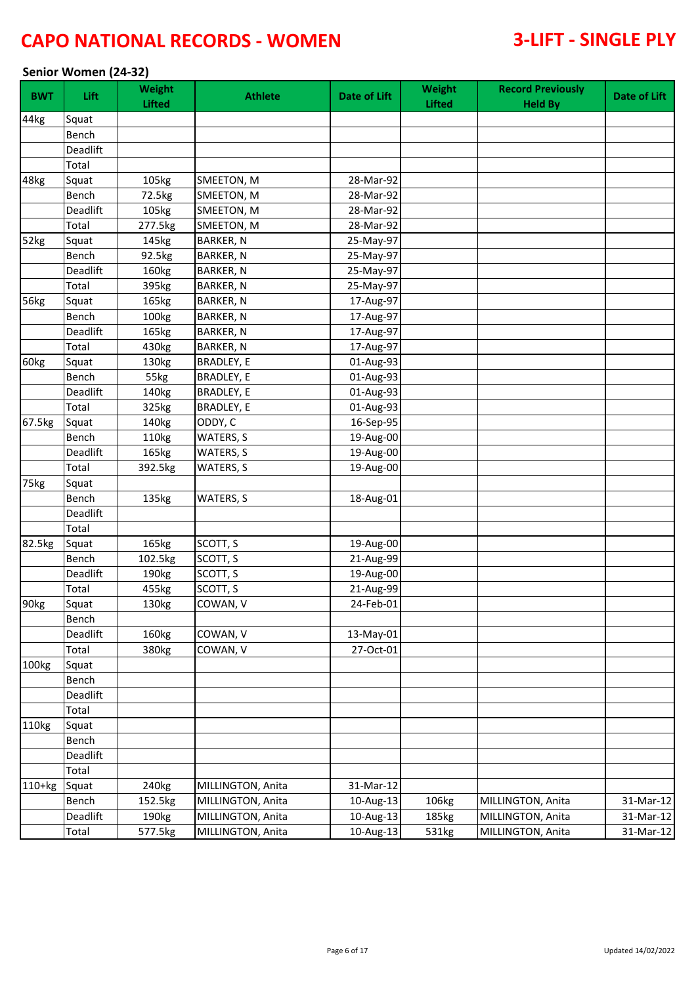### **Senior Women (24-32)**

| <b>BWT</b> | Lift.    | Weight<br><b>Lifted</b> | <b>Athlete</b>    | Date of Lift | Weight<br>Lifted | <b>Record Previously</b><br><b>Held By</b> | Date of Lift |
|------------|----------|-------------------------|-------------------|--------------|------------------|--------------------------------------------|--------------|
| 44kg       | Squat    |                         |                   |              |                  |                                            |              |
|            | Bench    |                         |                   |              |                  |                                            |              |
|            | Deadlift |                         |                   |              |                  |                                            |              |
|            | Total    |                         |                   |              |                  |                                            |              |
| 48kg       | Squat    | 105kg                   | SMEETON, M        | 28-Mar-92    |                  |                                            |              |
|            | Bench    | 72.5kg                  | SMEETON, M        | 28-Mar-92    |                  |                                            |              |
|            | Deadlift | 105kg                   | SMEETON, M        | 28-Mar-92    |                  |                                            |              |
|            | Total    | 277.5kg                 | SMEETON, M        | 28-Mar-92    |                  |                                            |              |
| 52kg       | Squat    | 145kg                   | <b>BARKER, N</b>  | 25-May-97    |                  |                                            |              |
|            | Bench    | 92.5kg                  | <b>BARKER, N</b>  | 25-May-97    |                  |                                            |              |
|            | Deadlift | 160kg                   | BARKER, N         | 25-May-97    |                  |                                            |              |
|            | Total    | 395kg                   | <b>BARKER, N</b>  | 25-May-97    |                  |                                            |              |
| 56kg       | Squat    | 165kg                   | <b>BARKER, N</b>  | 17-Aug-97    |                  |                                            |              |
|            | Bench    | 100kg                   | <b>BARKER, N</b>  | 17-Aug-97    |                  |                                            |              |
|            | Deadlift | 165kg                   | <b>BARKER, N</b>  | 17-Aug-97    |                  |                                            |              |
|            | Total    | 430kg                   | <b>BARKER, N</b>  | 17-Aug-97    |                  |                                            |              |
| 60kg       | Squat    | 130kg                   | BRADLEY, E        | 01-Aug-93    |                  |                                            |              |
|            | Bench    | 55kg                    | <b>BRADLEY, E</b> | 01-Aug-93    |                  |                                            |              |
|            | Deadlift | 140kg                   | <b>BRADLEY, E</b> | 01-Aug-93    |                  |                                            |              |
|            | Total    | 325kg                   | <b>BRADLEY, E</b> | 01-Aug-93    |                  |                                            |              |
| 67.5kg     | Squat    | 140kg                   | ODDY, C           | 16-Sep-95    |                  |                                            |              |
|            | Bench    | 110kg                   | WATERS, S         | 19-Aug-00    |                  |                                            |              |
|            | Deadlift | 165kg                   | WATERS, S         | 19-Aug-00    |                  |                                            |              |
|            | Total    | 392.5kg                 | WATERS, S         | 19-Aug-00    |                  |                                            |              |
| 75kg       | Squat    |                         |                   |              |                  |                                            |              |
|            | Bench    | 135kg                   | WATERS, S         | 18-Aug-01    |                  |                                            |              |
|            | Deadlift |                         |                   |              |                  |                                            |              |
|            | Total    |                         |                   |              |                  |                                            |              |
| 82.5kg     | Squat    | 165kg                   | SCOTT, S          | 19-Aug-00    |                  |                                            |              |
|            | Bench    | 102.5kg                 | SCOTT, S          | 21-Aug-99    |                  |                                            |              |
|            | Deadlift | 190kg                   | SCOTT, S          | 19-Aug-00    |                  |                                            |              |
|            | Total    | 455kg                   | SCOTT, S          | 21-Aug-99    |                  |                                            |              |
| 90kg       | Squat    | 130kg                   | COWAN, V          | 24-Feb-01    |                  |                                            |              |
|            | Bench    |                         |                   |              |                  |                                            |              |
|            | Deadlift | 160kg                   | COWAN, V          | 13-May-01    |                  |                                            |              |
|            | Total    | 380kg                   | COWAN, V          | 27-Oct-01    |                  |                                            |              |
| 100kg      | Squat    |                         |                   |              |                  |                                            |              |
|            | Bench    |                         |                   |              |                  |                                            |              |
|            | Deadlift |                         |                   |              |                  |                                            |              |
|            | Total    |                         |                   |              |                  |                                            |              |
| 110kg      | Squat    |                         |                   |              |                  |                                            |              |
|            | Bench    |                         |                   |              |                  |                                            |              |
|            | Deadlift |                         |                   |              |                  |                                            |              |
|            | Total    |                         |                   |              |                  |                                            |              |
| $110+kg$   | Squat    | 240 <sub>kg</sub>       | MILLINGTON, Anita | 31-Mar-12    |                  |                                            |              |
|            | Bench    | 152.5kg                 | MILLINGTON, Anita | 10-Aug-13    | 106kg            | MILLINGTON, Anita                          | 31-Mar-12    |
|            | Deadlift | 190kg                   | MILLINGTON, Anita | 10-Aug-13    | 185kg            | MILLINGTON, Anita                          | 31-Mar-12    |
|            | Total    | 577.5kg                 | MILLINGTON, Anita | 10-Aug-13    | 531kg            | MILLINGTON, Anita                          | 31-Mar-12    |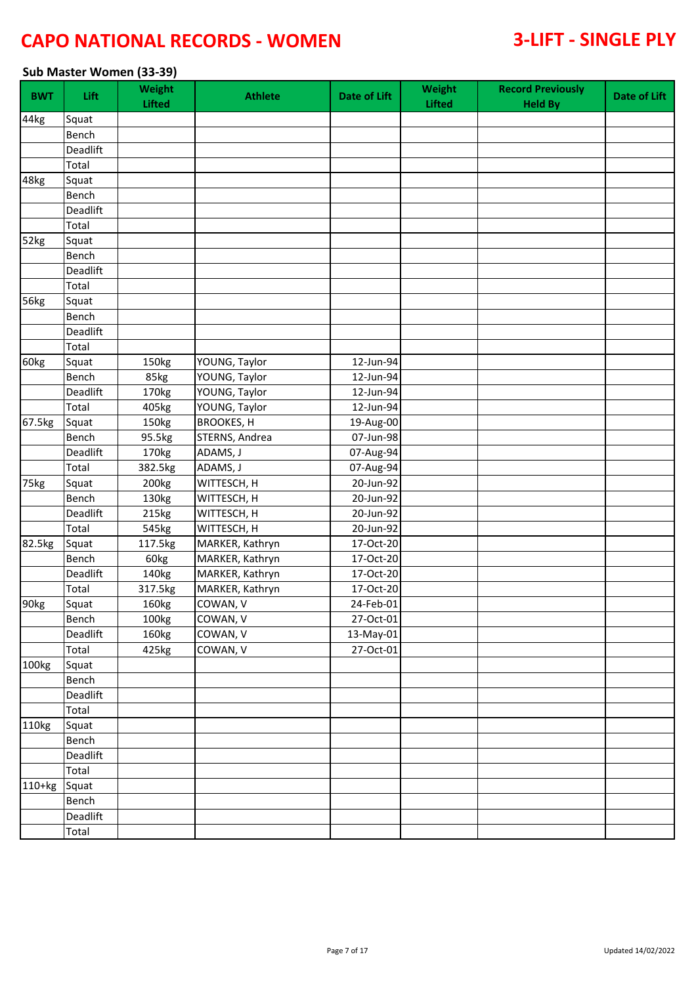### **Sub Master Women (33-39)**

| <b>BWT</b> | <b>Lift</b> | Weight<br><b>Lifted</b> | <b>Athlete</b>    | <b>Date of Lift</b> | Weight<br>Lifted | <b>Record Previously</b><br><b>Held By</b> | Date of Lift |
|------------|-------------|-------------------------|-------------------|---------------------|------------------|--------------------------------------------|--------------|
| 44kg       | Squat       |                         |                   |                     |                  |                                            |              |
|            | Bench       |                         |                   |                     |                  |                                            |              |
|            | Deadlift    |                         |                   |                     |                  |                                            |              |
|            | Total       |                         |                   |                     |                  |                                            |              |
| 48kg       | Squat       |                         |                   |                     |                  |                                            |              |
|            | Bench       |                         |                   |                     |                  |                                            |              |
|            | Deadlift    |                         |                   |                     |                  |                                            |              |
|            | Total       |                         |                   |                     |                  |                                            |              |
| 52kg       | Squat       |                         |                   |                     |                  |                                            |              |
|            | Bench       |                         |                   |                     |                  |                                            |              |
|            | Deadlift    |                         |                   |                     |                  |                                            |              |
|            | Total       |                         |                   |                     |                  |                                            |              |
| 56kg       | Squat       |                         |                   |                     |                  |                                            |              |
|            | Bench       |                         |                   |                     |                  |                                            |              |
|            | Deadlift    |                         |                   |                     |                  |                                            |              |
|            | Total       |                         |                   |                     |                  |                                            |              |
| 60kg       | Squat       | 150kg                   | YOUNG, Taylor     | 12-Jun-94           |                  |                                            |              |
|            | Bench       | 85kg                    | YOUNG, Taylor     | 12-Jun-94           |                  |                                            |              |
|            | Deadlift    | 170kg                   | YOUNG, Taylor     | 12-Jun-94           |                  |                                            |              |
|            | Total       | 405kg                   | YOUNG, Taylor     | 12-Jun-94           |                  |                                            |              |
| 67.5kg     | Squat       | 150kg                   | <b>BROOKES, H</b> | 19-Aug-00           |                  |                                            |              |
|            | Bench       | 95.5kg                  | STERNS, Andrea    | 07-Jun-98           |                  |                                            |              |
|            | Deadlift    | 170kg                   | ADAMS, J          | 07-Aug-94           |                  |                                            |              |
|            | Total       | 382.5kg                 | ADAMS, J          | 07-Aug-94           |                  |                                            |              |
| 75kg       | Squat       | 200kg                   | WITTESCH, H       | 20-Jun-92           |                  |                                            |              |
|            | Bench       | 130kg                   | WITTESCH, H       | 20-Jun-92           |                  |                                            |              |
|            | Deadlift    | 215kg                   | WITTESCH, H       | 20-Jun-92           |                  |                                            |              |
|            | Total       | 545kg                   | WITTESCH, H       | 20-Jun-92           |                  |                                            |              |
| 82.5kg     | Squat       | 117.5kg                 | MARKER, Kathryn   | 17-Oct-20           |                  |                                            |              |
|            | Bench       | 60kg                    | MARKER, Kathryn   | 17-Oct-20           |                  |                                            |              |
|            | Deadlift    | 140kg                   | MARKER, Kathryn   | 17-Oct-20           |                  |                                            |              |
|            | Total       | 317.5kg                 | MARKER, Kathryn   | 17-Oct-20           |                  |                                            |              |
| 90kg       | Squat       | 160kg                   | COWAN, V          | $24$ -Feb-01        |                  |                                            |              |
|            | Bench       | 100kg                   | COWAN, V          | 27-Oct-01           |                  |                                            |              |
|            | Deadlift    | 160kg                   | COWAN, V          | 13-May-01           |                  |                                            |              |
|            | Total       | 425kg                   | COWAN, V          | 27-Oct-01           |                  |                                            |              |
| 100kg      | Squat       |                         |                   |                     |                  |                                            |              |
|            | Bench       |                         |                   |                     |                  |                                            |              |
|            | Deadlift    |                         |                   |                     |                  |                                            |              |
|            | Total       |                         |                   |                     |                  |                                            |              |
| 110kg      | Squat       |                         |                   |                     |                  |                                            |              |
|            | Bench       |                         |                   |                     |                  |                                            |              |
|            | Deadlift    |                         |                   |                     |                  |                                            |              |
|            | Total       |                         |                   |                     |                  |                                            |              |
| $110+kg$   | Squat       |                         |                   |                     |                  |                                            |              |
|            | Bench       |                         |                   |                     |                  |                                            |              |
|            | Deadlift    |                         |                   |                     |                  |                                            |              |
|            | Total       |                         |                   |                     |                  |                                            |              |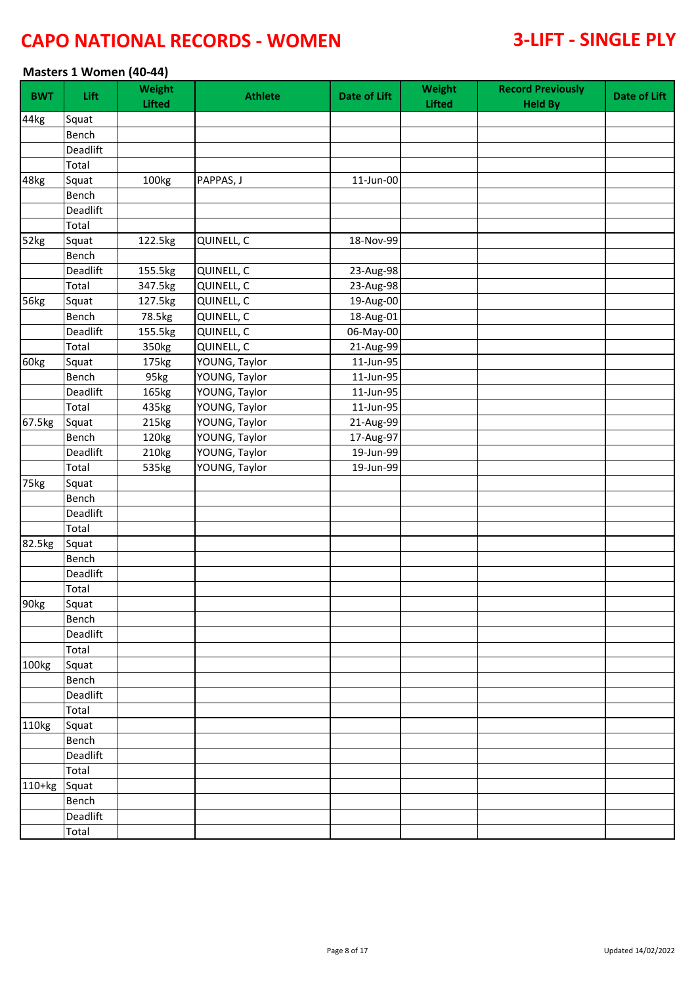### **Masters 1 Women (40-44)**

| <b>BWT</b> | Lift     | Weight<br><b>Lifted</b> | <b>Athlete</b> | <b>Date of Lift</b> | Weight<br><b>Lifted</b> | <b>Record Previously</b><br><b>Held By</b> | Date of Lift |
|------------|----------|-------------------------|----------------|---------------------|-------------------------|--------------------------------------------|--------------|
| 44kg       | Squat    |                         |                |                     |                         |                                            |              |
|            | Bench    |                         |                |                     |                         |                                            |              |
|            | Deadlift |                         |                |                     |                         |                                            |              |
|            | Total    |                         |                |                     |                         |                                            |              |
| 48kg       | Squat    | 100kg                   | PAPPAS, J      | 11-Jun-00           |                         |                                            |              |
|            | Bench    |                         |                |                     |                         |                                            |              |
|            | Deadlift |                         |                |                     |                         |                                            |              |
|            | Total    |                         |                |                     |                         |                                            |              |
| 52kg       | Squat    | 122.5kg                 | QUINELL, C     | 18-Nov-99           |                         |                                            |              |
|            | Bench    |                         |                |                     |                         |                                            |              |
|            | Deadlift | 155.5kg                 | QUINELL, C     | 23-Aug-98           |                         |                                            |              |
|            | Total    | 347.5kg                 | QUINELL, C     | 23-Aug-98           |                         |                                            |              |
| 56kg       | Squat    | 127.5kg                 | QUINELL, C     | 19-Aug-00           |                         |                                            |              |
|            | Bench    | 78.5kg                  | QUINELL, C     | 18-Aug-01           |                         |                                            |              |
|            | Deadlift | 155.5kg                 | QUINELL, C     | 06-May-00           |                         |                                            |              |
|            | Total    | 350kg                   | QUINELL, C     | 21-Aug-99           |                         |                                            |              |
| 60kg       | Squat    | 175kg                   | YOUNG, Taylor  | 11-Jun-95           |                         |                                            |              |
|            | Bench    | 95kg                    | YOUNG, Taylor  | 11-Jun-95           |                         |                                            |              |
|            | Deadlift | 165kg                   | YOUNG, Taylor  | 11-Jun-95           |                         |                                            |              |
|            | Total    | 435kg                   | YOUNG, Taylor  | 11-Jun-95           |                         |                                            |              |
| 67.5kg     | Squat    | 215kg                   | YOUNG, Taylor  | 21-Aug-99           |                         |                                            |              |
|            | Bench    | 120kg                   | YOUNG, Taylor  | 17-Aug-97           |                         |                                            |              |
|            | Deadlift | 210kg                   | YOUNG, Taylor  | 19-Jun-99           |                         |                                            |              |
|            | Total    | 535kg                   | YOUNG, Taylor  | 19-Jun-99           |                         |                                            |              |
| 75kg       | Squat    |                         |                |                     |                         |                                            |              |
|            | Bench    |                         |                |                     |                         |                                            |              |
|            | Deadlift |                         |                |                     |                         |                                            |              |
|            | Total    |                         |                |                     |                         |                                            |              |
| 82.5kg     | Squat    |                         |                |                     |                         |                                            |              |
|            | Bench    |                         |                |                     |                         |                                            |              |
|            | Deadlift |                         |                |                     |                         |                                            |              |
|            | Total    |                         |                |                     |                         |                                            |              |
| 90kg       | Squat    |                         |                |                     |                         |                                            |              |
|            | Bench    |                         |                |                     |                         |                                            |              |
|            | Deadlift |                         |                |                     |                         |                                            |              |
|            | Total    |                         |                |                     |                         |                                            |              |
| 100kg      | Squat    |                         |                |                     |                         |                                            |              |
|            | Bench    |                         |                |                     |                         |                                            |              |
|            | Deadlift |                         |                |                     |                         |                                            |              |
|            | Total    |                         |                |                     |                         |                                            |              |
| 110kg      | Squat    |                         |                |                     |                         |                                            |              |
|            | Bench    |                         |                |                     |                         |                                            |              |
|            | Deadlift |                         |                |                     |                         |                                            |              |
|            | Total    |                         |                |                     |                         |                                            |              |
| $110+kg$   | Squat    |                         |                |                     |                         |                                            |              |
|            | Bench    |                         |                |                     |                         |                                            |              |
|            | Deadlift |                         |                |                     |                         |                                            |              |
|            | Total    |                         |                |                     |                         |                                            |              |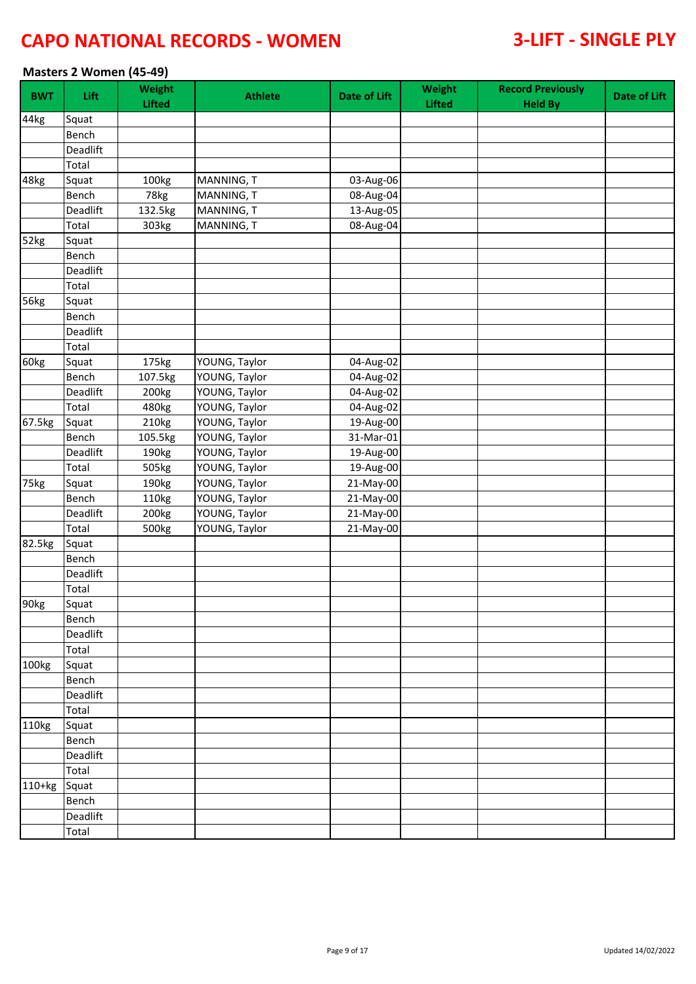### **Masters 2 Women (45-49)**

| <b>BWT</b> | <b>Lift</b> | Weight<br><b>Lifted</b> | <b>Athlete</b> | <b>Date of Lift</b> | Weight<br><b>Lifted</b> | <b>Record Previously</b><br><b>Held By</b> | Date of Lift |
|------------|-------------|-------------------------|----------------|---------------------|-------------------------|--------------------------------------------|--------------|
| 44kg       | Squat       |                         |                |                     |                         |                                            |              |
|            | Bench       |                         |                |                     |                         |                                            |              |
|            | Deadlift    |                         |                |                     |                         |                                            |              |
|            | Total       |                         |                |                     |                         |                                            |              |
| 48kg       | Squat       | 100kg                   | MANNING, T     | 03-Aug-06           |                         |                                            |              |
|            | Bench       | 78kg                    | MANNING, T     | 08-Aug-04           |                         |                                            |              |
|            | Deadlift    | 132.5kg                 | MANNING, T     | 13-Aug-05           |                         |                                            |              |
|            | Total       | 303kg                   | MANNING, T     | 08-Aug-04           |                         |                                            |              |
| 52kg       | Squat       |                         |                |                     |                         |                                            |              |
|            | Bench       |                         |                |                     |                         |                                            |              |
|            | Deadlift    |                         |                |                     |                         |                                            |              |
|            | Total       |                         |                |                     |                         |                                            |              |
| 56kg       | Squat       |                         |                |                     |                         |                                            |              |
|            | Bench       |                         |                |                     |                         |                                            |              |
|            | Deadlift    |                         |                |                     |                         |                                            |              |
|            | Total       |                         |                |                     |                         |                                            |              |
| 60kg       | Squat       | 175kg                   | YOUNG, Taylor  | 04-Aug-02           |                         |                                            |              |
|            | Bench       | 107.5kg                 | YOUNG, Taylor  | 04-Aug-02           |                         |                                            |              |
|            | Deadlift    | 200kg                   | YOUNG, Taylor  | 04-Aug-02           |                         |                                            |              |
|            | Total       | 480kg                   | YOUNG, Taylor  | 04-Aug-02           |                         |                                            |              |
| 67.5kg     | Squat       | 210kg                   | YOUNG, Taylor  | 19-Aug-00           |                         |                                            |              |
|            | Bench       | 105.5kg                 | YOUNG, Taylor  | 31-Mar-01           |                         |                                            |              |
|            | Deadlift    | 190kg                   | YOUNG, Taylor  | 19-Aug-00           |                         |                                            |              |
|            | Total       | 505kg                   | YOUNG, Taylor  | 19-Aug-00           |                         |                                            |              |
| 75kg       | Squat       | 190kg                   | YOUNG, Taylor  | 21-May-00           |                         |                                            |              |
|            | Bench       | 110kg                   | YOUNG, Taylor  | 21-May-00           |                         |                                            |              |
|            | Deadlift    | 200kg                   | YOUNG, Taylor  | 21-May-00           |                         |                                            |              |
|            | Total       | 500kg                   | YOUNG, Taylor  | 21-May-00           |                         |                                            |              |
| 82.5kg     | Squat       |                         |                |                     |                         |                                            |              |
|            | Bench       |                         |                |                     |                         |                                            |              |
|            | Deadlift    |                         |                |                     |                         |                                            |              |
|            | Total       |                         |                |                     |                         |                                            |              |
| 90kg       | Squat       |                         |                |                     |                         |                                            |              |
|            | Bench       |                         |                |                     |                         |                                            |              |
|            | Deadlift    |                         |                |                     |                         |                                            |              |
|            | Total       |                         |                |                     |                         |                                            |              |
| 100kg      | Squat       |                         |                |                     |                         |                                            |              |
|            | Bench       |                         |                |                     |                         |                                            |              |
|            | Deadlift    |                         |                |                     |                         |                                            |              |
|            | Total       |                         |                |                     |                         |                                            |              |
| 110kg      | Squat       |                         |                |                     |                         |                                            |              |
|            | Bench       |                         |                |                     |                         |                                            |              |
|            | Deadlift    |                         |                |                     |                         |                                            |              |
|            | Total       |                         |                |                     |                         |                                            |              |
| 110+kg     | Squat       |                         |                |                     |                         |                                            |              |
|            | Bench       |                         |                |                     |                         |                                            |              |
|            | Deadlift    |                         |                |                     |                         |                                            |              |
|            | Total       |                         |                |                     |                         |                                            |              |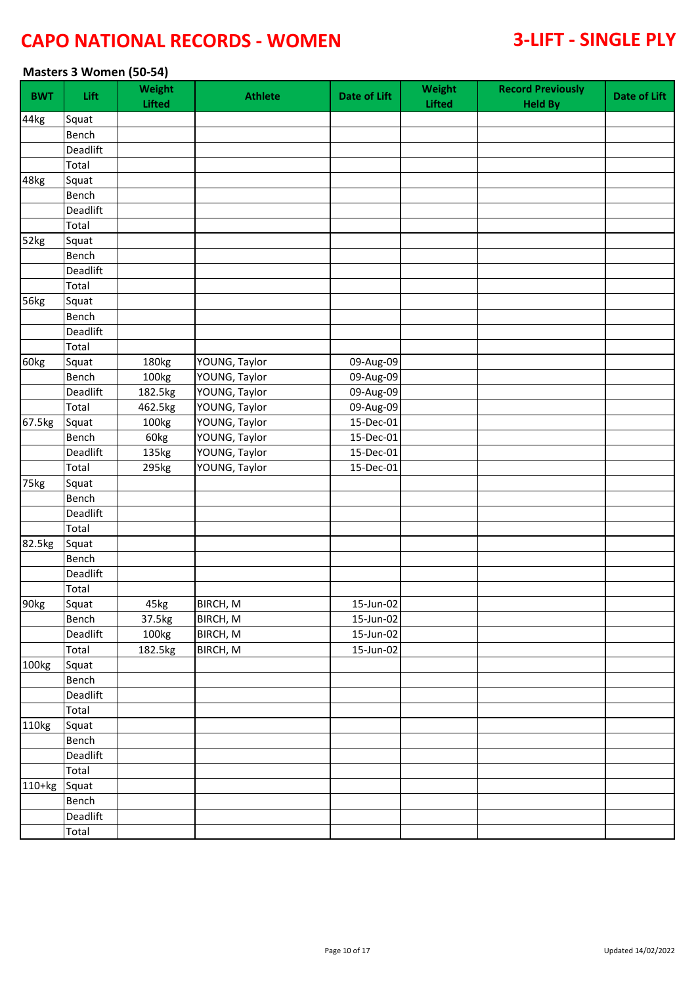### **Masters 3 Women (50-54)**

| <b>BWT</b>       | Lift     | Weight<br><b>Lifted</b> | <b>Athlete</b> | <b>Date of Lift</b>     | Weight<br><b>Lifted</b> | <b>Record Previously</b><br><b>Held By</b> | Date of Lift |
|------------------|----------|-------------------------|----------------|-------------------------|-------------------------|--------------------------------------------|--------------|
| 44kg             | Squat    |                         |                |                         |                         |                                            |              |
|                  | Bench    |                         |                |                         |                         |                                            |              |
|                  | Deadlift |                         |                |                         |                         |                                            |              |
|                  | Total    |                         |                |                         |                         |                                            |              |
| 48kg             | Squat    |                         |                |                         |                         |                                            |              |
|                  | Bench    |                         |                |                         |                         |                                            |              |
|                  | Deadlift |                         |                |                         |                         |                                            |              |
|                  | Total    |                         |                |                         |                         |                                            |              |
| 52kg             | Squat    |                         |                |                         |                         |                                            |              |
|                  | Bench    |                         |                |                         |                         |                                            |              |
|                  | Deadlift |                         |                |                         |                         |                                            |              |
|                  | Total    |                         |                |                         |                         |                                            |              |
| 56kg             | Squat    |                         |                |                         |                         |                                            |              |
|                  | Bench    |                         |                |                         |                         |                                            |              |
|                  | Deadlift |                         |                |                         |                         |                                            |              |
|                  | Total    |                         |                |                         |                         |                                            |              |
| 60kg             | Squat    | 180kg                   | YOUNG, Taylor  | 09-Aug-09               |                         |                                            |              |
|                  | Bench    | 100kg                   | YOUNG, Taylor  | 09-Aug-09               |                         |                                            |              |
|                  | Deadlift | 182.5kg                 | YOUNG, Taylor  | 09-Aug-09               |                         |                                            |              |
|                  | Total    | 462.5kg                 | YOUNG, Taylor  | 09-Aug-09               |                         |                                            |              |
| 67.5kg           | Squat    | 100kg                   | YOUNG, Taylor  | 15-Dec-01               |                         |                                            |              |
|                  | Bench    | 60kg                    | YOUNG, Taylor  | 15-Dec-01               |                         |                                            |              |
|                  | Deadlift | 135kg                   | YOUNG, Taylor  | 15-Dec-01               |                         |                                            |              |
|                  | Total    | 295kg                   | YOUNG, Taylor  | 15-Dec-01               |                         |                                            |              |
| 75kg             | Squat    |                         |                |                         |                         |                                            |              |
|                  | Bench    |                         |                |                         |                         |                                            |              |
|                  | Deadlift |                         |                |                         |                         |                                            |              |
|                  | Total    |                         |                |                         |                         |                                            |              |
| 82.5kg           | Squat    |                         |                |                         |                         |                                            |              |
|                  | Bench    |                         |                |                         |                         |                                            |              |
|                  | Deadlift |                         |                |                         |                         |                                            |              |
|                  | Total    |                         |                |                         |                         |                                            |              |
| 90 <sub>kg</sub> | Squat    | 45kg                    | BIRCH, M       | $\overline{15}$ -Jun-02 |                         |                                            |              |
|                  | Bench    | 37.5kg                  | BIRCH, M       | 15-Jun-02               |                         |                                            |              |
|                  | Deadlift | 100kg                   | BIRCH, M       | 15-Jun-02               |                         |                                            |              |
|                  | Total    | 182.5kg                 | BIRCH, M       | $\overline{1}$ 5-Jun-02 |                         |                                            |              |
| 100kg            | Squat    |                         |                |                         |                         |                                            |              |
|                  | Bench    |                         |                |                         |                         |                                            |              |
|                  | Deadlift |                         |                |                         |                         |                                            |              |
|                  | Total    |                         |                |                         |                         |                                            |              |
| 110kg            | Squat    |                         |                |                         |                         |                                            |              |
|                  | Bench    |                         |                |                         |                         |                                            |              |
|                  | Deadlift |                         |                |                         |                         |                                            |              |
|                  | Total    |                         |                |                         |                         |                                            |              |
| 110+kg           | Squat    |                         |                |                         |                         |                                            |              |
|                  | Bench    |                         |                |                         |                         |                                            |              |
|                  | Deadlift |                         |                |                         |                         |                                            |              |
|                  | Total    |                         |                |                         |                         |                                            |              |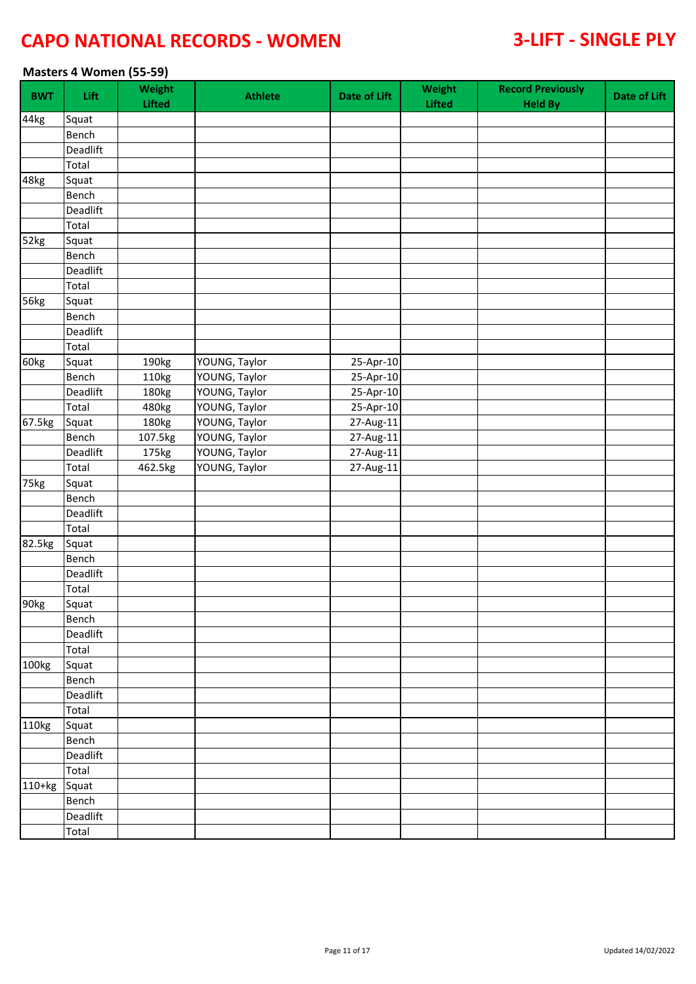### **Masters 4 Women (55-59)**

| <b>BWT</b> | Lift         | Weight<br><b>Lifted</b> | <b>Athlete</b> | <b>Date of Lift</b> | Weight<br>Lifted | <b>Record Previously</b><br><b>Held By</b> | <b>Date of Lift</b> |
|------------|--------------|-------------------------|----------------|---------------------|------------------|--------------------------------------------|---------------------|
| 44kg       | Squat        |                         |                |                     |                  |                                            |                     |
|            | Bench        |                         |                |                     |                  |                                            |                     |
|            | Deadlift     |                         |                |                     |                  |                                            |                     |
|            | Total        |                         |                |                     |                  |                                            |                     |
| 48kg       | Squat        |                         |                |                     |                  |                                            |                     |
|            | Bench        |                         |                |                     |                  |                                            |                     |
|            | Deadlift     |                         |                |                     |                  |                                            |                     |
|            | Total        |                         |                |                     |                  |                                            |                     |
| 52kg       | Squat        |                         |                |                     |                  |                                            |                     |
|            | Bench        |                         |                |                     |                  |                                            |                     |
|            | Deadlift     |                         |                |                     |                  |                                            |                     |
|            | Total        |                         |                |                     |                  |                                            |                     |
| 56kg       | Squat        |                         |                |                     |                  |                                            |                     |
|            | Bench        |                         |                |                     |                  |                                            |                     |
|            | Deadlift     |                         |                |                     |                  |                                            |                     |
|            | Total        |                         |                |                     |                  |                                            |                     |
| 60kg       | Squat        | 190kg                   | YOUNG, Taylor  | 25-Apr-10           |                  |                                            |                     |
|            | Bench        | 110kg                   | YOUNG, Taylor  | 25-Apr-10           |                  |                                            |                     |
|            | Deadlift     | 180kg                   | YOUNG, Taylor  | 25-Apr-10           |                  |                                            |                     |
|            | Total        | 480kg                   | YOUNG, Taylor  | 25-Apr-10           |                  |                                            |                     |
| 67.5kg     | Squat        | 180kg                   | YOUNG, Taylor  | 27-Aug-11           |                  |                                            |                     |
|            | Bench        | 107.5kg                 | YOUNG, Taylor  | 27-Aug-11           |                  |                                            |                     |
|            | Deadlift     | 175kg                   | YOUNG, Taylor  | 27-Aug-11           |                  |                                            |                     |
|            | Total        | 462.5kg                 | YOUNG, Taylor  | 27-Aug-11           |                  |                                            |                     |
| 75kg       | Squat        |                         |                |                     |                  |                                            |                     |
|            | Bench        |                         |                |                     |                  |                                            |                     |
|            | Deadlift     |                         |                |                     |                  |                                            |                     |
|            | Total        |                         |                |                     |                  |                                            |                     |
| 82.5kg     | Squat        |                         |                |                     |                  |                                            |                     |
|            | <b>Bench</b> |                         |                |                     |                  |                                            |                     |
|            | Deadlift     |                         |                |                     |                  |                                            |                     |
|            | Total        |                         |                |                     |                  |                                            |                     |
| 90kg       | Squat        |                         |                |                     |                  |                                            |                     |
|            | Bench        |                         |                |                     |                  |                                            |                     |
|            | Deadlift     |                         |                |                     |                  |                                            |                     |
|            | Total        |                         |                |                     |                  |                                            |                     |
| 100kg      | Squat        |                         |                |                     |                  |                                            |                     |
|            | Bench        |                         |                |                     |                  |                                            |                     |
|            | Deadlift     |                         |                |                     |                  |                                            |                     |
|            | Total        |                         |                |                     |                  |                                            |                     |
| 110kg      | Squat        |                         |                |                     |                  |                                            |                     |
|            | Bench        |                         |                |                     |                  |                                            |                     |
|            | Deadlift     |                         |                |                     |                  |                                            |                     |
|            | Total        |                         |                |                     |                  |                                            |                     |
| $110+kg$   | Squat        |                         |                |                     |                  |                                            |                     |
|            | Bench        |                         |                |                     |                  |                                            |                     |
|            | Deadlift     |                         |                |                     |                  |                                            |                     |
|            | Total        |                         |                |                     |                  |                                            |                     |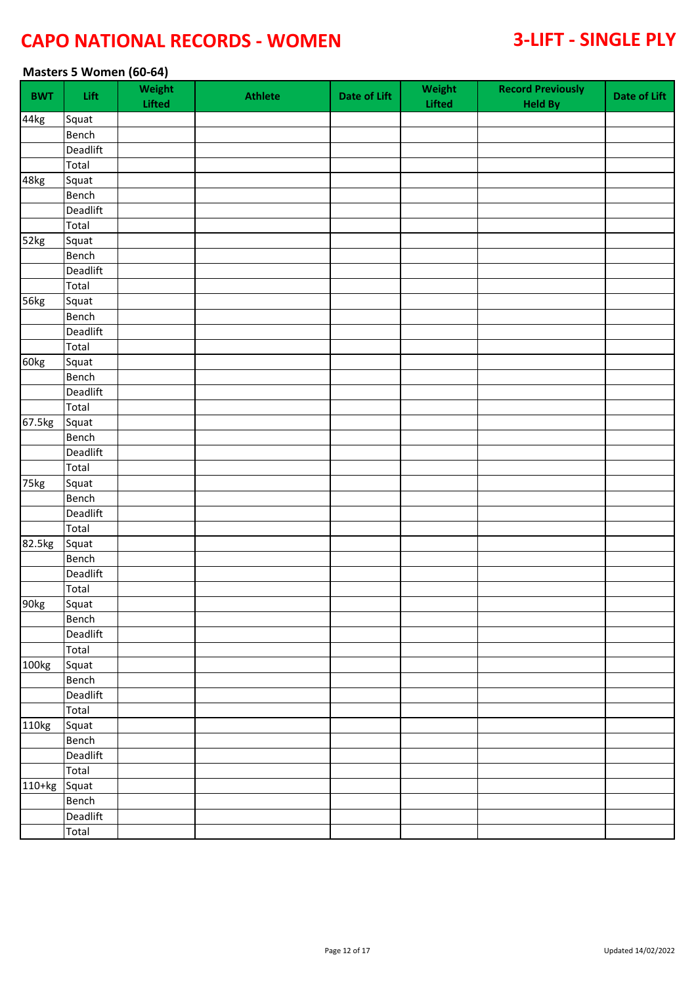### **Masters 5 Women (60-64)**

| <b>BWT</b>         | Lift         | Weight<br><b>Lifted</b> | <b>Athlete</b> | <b>Date of Lift</b> | Weight<br>Lifted | <b>Record Previously</b><br><b>Held By</b> | Date of Lift |
|--------------------|--------------|-------------------------|----------------|---------------------|------------------|--------------------------------------------|--------------|
| 44kg               | Squat        |                         |                |                     |                  |                                            |              |
|                    | Bench        |                         |                |                     |                  |                                            |              |
|                    | Deadlift     |                         |                |                     |                  |                                            |              |
|                    | Total        |                         |                |                     |                  |                                            |              |
| 48kg               | Squat        |                         |                |                     |                  |                                            |              |
|                    | Bench        |                         |                |                     |                  |                                            |              |
|                    | Deadlift     |                         |                |                     |                  |                                            |              |
|                    | Total        |                         |                |                     |                  |                                            |              |
| 52kg               | Squat        |                         |                |                     |                  |                                            |              |
|                    | Bench        |                         |                |                     |                  |                                            |              |
|                    | Deadlift     |                         |                |                     |                  |                                            |              |
|                    | Total        |                         |                |                     |                  |                                            |              |
| 56kg               | Squat        |                         |                |                     |                  |                                            |              |
|                    | Bench        |                         |                |                     |                  |                                            |              |
|                    | Deadlift     |                         |                |                     |                  |                                            |              |
|                    | Total        |                         |                |                     |                  |                                            |              |
| 60kg               | Squat        |                         |                |                     |                  |                                            |              |
|                    | Bench        |                         |                |                     |                  |                                            |              |
|                    | Deadlift     |                         |                |                     |                  |                                            |              |
|                    | Total        |                         |                |                     |                  |                                            |              |
| 67.5kg             | Squat        |                         |                |                     |                  |                                            |              |
|                    | Bench        |                         |                |                     |                  |                                            |              |
|                    | Deadlift     |                         |                |                     |                  |                                            |              |
|                    | Total        |                         |                |                     |                  |                                            |              |
| $\overline{75}$ kg | Squat        |                         |                |                     |                  |                                            |              |
|                    | Bench        |                         |                |                     |                  |                                            |              |
|                    | Deadlift     |                         |                |                     |                  |                                            |              |
|                    | Total        |                         |                |                     |                  |                                            |              |
| 82.5kg             | Squat        |                         |                |                     |                  |                                            |              |
|                    | Bench        |                         |                |                     |                  |                                            |              |
|                    | Deadlift     |                         |                |                     |                  |                                            |              |
|                    | Total        |                         |                |                     |                  |                                            |              |
| 90kg               | Squat        |                         |                |                     |                  |                                            |              |
|                    | Bench        |                         |                |                     |                  |                                            |              |
|                    | Deadlift     |                         |                |                     |                  |                                            |              |
|                    | Total        |                         |                |                     |                  |                                            |              |
| 100kg              | Squat        |                         |                |                     |                  |                                            |              |
|                    | <b>Bench</b> |                         |                |                     |                  |                                            |              |
|                    | Deadlift     |                         |                |                     |                  |                                            |              |
|                    | Total        |                         |                |                     |                  |                                            |              |
| 110kg              | Squat        |                         |                |                     |                  |                                            |              |
|                    | Bench        |                         |                |                     |                  |                                            |              |
|                    | Deadlift     |                         |                |                     |                  |                                            |              |
|                    | Total        |                         |                |                     |                  |                                            |              |
| 110+kg             | Squat        |                         |                |                     |                  |                                            |              |
|                    | Bench        |                         |                |                     |                  |                                            |              |
|                    | Deadlift     |                         |                |                     |                  |                                            |              |
|                    | Total        |                         |                |                     |                  |                                            |              |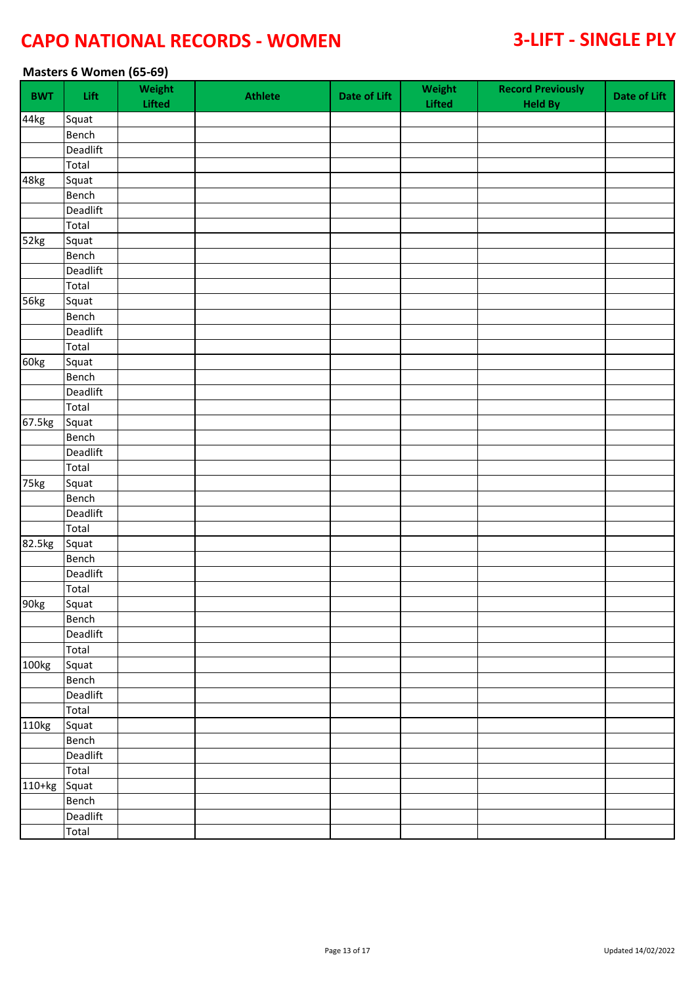### **Masters 6 Women (65-69)**

| <b>BWT</b> | Lift         | Weight<br><b>Lifted</b> | <b>Athlete</b> | <b>Date of Lift</b> | Weight<br>Lifted | <b>Record Previously</b><br><b>Held By</b> | Date of Lift |
|------------|--------------|-------------------------|----------------|---------------------|------------------|--------------------------------------------|--------------|
| 44kg       | Squat        |                         |                |                     |                  |                                            |              |
|            | Bench        |                         |                |                     |                  |                                            |              |
|            | Deadlift     |                         |                |                     |                  |                                            |              |
|            | Total        |                         |                |                     |                  |                                            |              |
| 48kg       | Squat        |                         |                |                     |                  |                                            |              |
|            | Bench        |                         |                |                     |                  |                                            |              |
|            | Deadlift     |                         |                |                     |                  |                                            |              |
|            | Total        |                         |                |                     |                  |                                            |              |
| 52kg       | Squat        |                         |                |                     |                  |                                            |              |
|            | Bench        |                         |                |                     |                  |                                            |              |
|            | Deadlift     |                         |                |                     |                  |                                            |              |
|            | Total        |                         |                |                     |                  |                                            |              |
| 56kg       | Squat        |                         |                |                     |                  |                                            |              |
|            | Bench        |                         |                |                     |                  |                                            |              |
|            | Deadlift     |                         |                |                     |                  |                                            |              |
|            | Total        |                         |                |                     |                  |                                            |              |
| 60kg       | Squat        |                         |                |                     |                  |                                            |              |
|            | Bench        |                         |                |                     |                  |                                            |              |
|            | Deadlift     |                         |                |                     |                  |                                            |              |
|            | Total        |                         |                |                     |                  |                                            |              |
| 67.5kg     | Squat        |                         |                |                     |                  |                                            |              |
|            | Bench        |                         |                |                     |                  |                                            |              |
|            | Deadlift     |                         |                |                     |                  |                                            |              |
|            | Total        |                         |                |                     |                  |                                            |              |
| 75kg       | Squat        |                         |                |                     |                  |                                            |              |
|            | Bench        |                         |                |                     |                  |                                            |              |
|            | Deadlift     |                         |                |                     |                  |                                            |              |
|            | Total        |                         |                |                     |                  |                                            |              |
| 82.5kg     | Squat        |                         |                |                     |                  |                                            |              |
|            | Bench        |                         |                |                     |                  |                                            |              |
|            | Deadlift     |                         |                |                     |                  |                                            |              |
|            | Total        |                         |                |                     |                  |                                            |              |
|            | Squat        |                         |                |                     |                  |                                            |              |
| 90kg       |              |                         |                |                     |                  |                                            |              |
|            | Bench        |                         |                |                     |                  |                                            |              |
|            | Deadlift     |                         |                |                     |                  |                                            |              |
|            | Total        |                         |                |                     |                  |                                            |              |
| 100kg      | Squat        |                         |                |                     |                  |                                            |              |
|            | <b>Bench</b> |                         |                |                     |                  |                                            |              |
|            | Deadlift     |                         |                |                     |                  |                                            |              |
|            | Total        |                         |                |                     |                  |                                            |              |
| 110kg      | Squat        |                         |                |                     |                  |                                            |              |
|            | Bench        |                         |                |                     |                  |                                            |              |
|            | Deadlift     |                         |                |                     |                  |                                            |              |
|            | Total        |                         |                |                     |                  |                                            |              |
| 110+kg     | Squat        |                         |                |                     |                  |                                            |              |
|            | Bench        |                         |                |                     |                  |                                            |              |
|            | Deadlift     |                         |                |                     |                  |                                            |              |
|            | Total        |                         |                |                     |                  |                                            |              |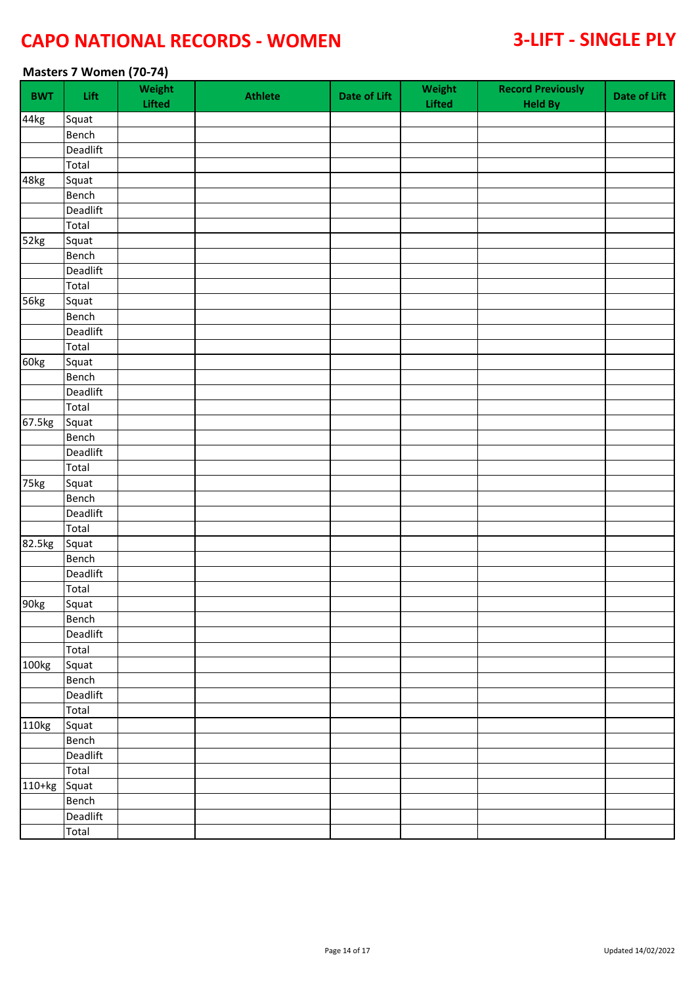### **Masters 7 Women (70-74)**

| <b>BWT</b> | Lift     | Weight<br>Lifted | <b>Athlete</b> | <b>Date of Lift</b> | Weight<br>Lifted | <b>Record Previously</b><br><b>Held By</b> | Date of Lift |
|------------|----------|------------------|----------------|---------------------|------------------|--------------------------------------------|--------------|
| 44kg       | Squat    |                  |                |                     |                  |                                            |              |
|            | Bench    |                  |                |                     |                  |                                            |              |
|            | Deadlift |                  |                |                     |                  |                                            |              |
|            | Total    |                  |                |                     |                  |                                            |              |
| 48kg       | Squat    |                  |                |                     |                  |                                            |              |
|            | Bench    |                  |                |                     |                  |                                            |              |
|            | Deadlift |                  |                |                     |                  |                                            |              |
|            | Total    |                  |                |                     |                  |                                            |              |
| 52kg       | Squat    |                  |                |                     |                  |                                            |              |
|            | Bench    |                  |                |                     |                  |                                            |              |
|            | Deadlift |                  |                |                     |                  |                                            |              |
|            | Total    |                  |                |                     |                  |                                            |              |
| 56kg       | Squat    |                  |                |                     |                  |                                            |              |
|            | Bench    |                  |                |                     |                  |                                            |              |
|            | Deadlift |                  |                |                     |                  |                                            |              |
|            | Total    |                  |                |                     |                  |                                            |              |
| 60kg       | Squat    |                  |                |                     |                  |                                            |              |
|            | Bench    |                  |                |                     |                  |                                            |              |
|            | Deadlift |                  |                |                     |                  |                                            |              |
|            | Total    |                  |                |                     |                  |                                            |              |
| 67.5kg     | Squat    |                  |                |                     |                  |                                            |              |
|            | Bench    |                  |                |                     |                  |                                            |              |
|            | Deadlift |                  |                |                     |                  |                                            |              |
|            | Total    |                  |                |                     |                  |                                            |              |
| 75kg       | Squat    |                  |                |                     |                  |                                            |              |
|            | Bench    |                  |                |                     |                  |                                            |              |
|            | Deadlift |                  |                |                     |                  |                                            |              |
|            | Total    |                  |                |                     |                  |                                            |              |
| 82.5kg     | Squat    |                  |                |                     |                  |                                            |              |
|            | Bench    |                  |                |                     |                  |                                            |              |
|            | Deadlift |                  |                |                     |                  |                                            |              |
|            | Total    |                  |                |                     |                  |                                            |              |
|            | Squat    |                  |                |                     |                  |                                            |              |
| 90kg       | Bench    |                  |                |                     |                  |                                            |              |
|            |          |                  |                |                     |                  |                                            |              |
|            | Deadlift |                  |                |                     |                  |                                            |              |
|            | Total    |                  |                |                     |                  |                                            |              |
| 100kg      | Squat    |                  |                |                     |                  |                                            |              |
|            | Bench    |                  |                |                     |                  |                                            |              |
|            | Deadlift |                  |                |                     |                  |                                            |              |
|            | Total    |                  |                |                     |                  |                                            |              |
| 110kg      | Squat    |                  |                |                     |                  |                                            |              |
|            | Bench    |                  |                |                     |                  |                                            |              |
|            | Deadlift |                  |                |                     |                  |                                            |              |
|            | Total    |                  |                |                     |                  |                                            |              |
| 110+kg     | Squat    |                  |                |                     |                  |                                            |              |
|            | Bench    |                  |                |                     |                  |                                            |              |
|            | Deadlift |                  |                |                     |                  |                                            |              |
|            | Total    |                  |                |                     |                  |                                            |              |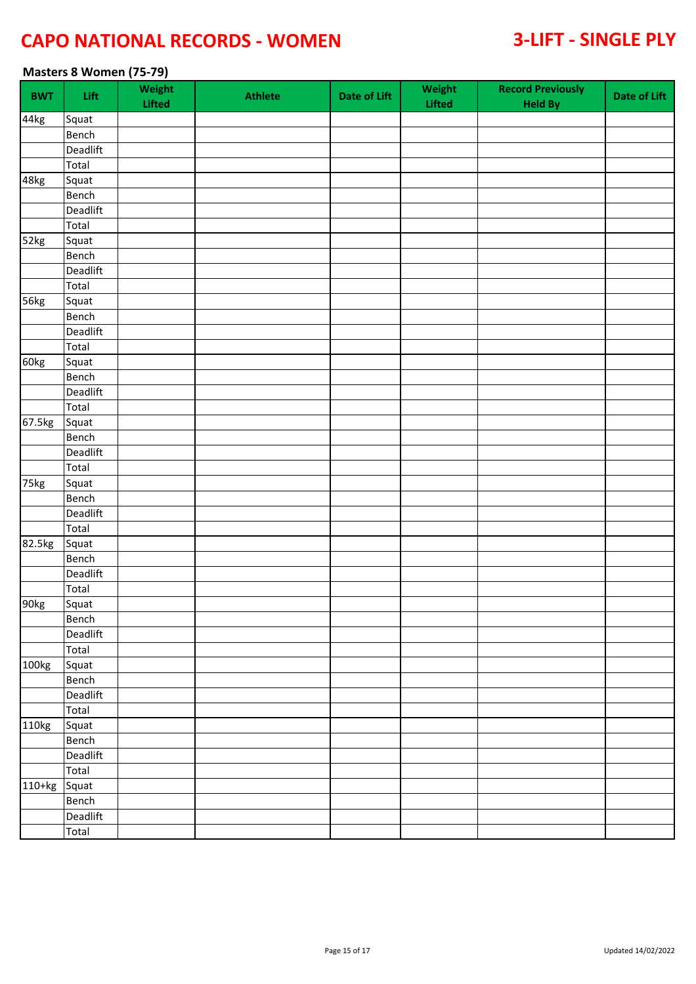### **Masters 8 Women (75-79)**

| <b>BWT</b> | Lift         | Weight<br><b>Lifted</b> | <b>Athlete</b> | <b>Date of Lift</b> | Weight<br>Lifted | <b>Record Previously</b><br><b>Held By</b> | Date of Lift |
|------------|--------------|-------------------------|----------------|---------------------|------------------|--------------------------------------------|--------------|
| 44kg       | Squat        |                         |                |                     |                  |                                            |              |
|            | Bench        |                         |                |                     |                  |                                            |              |
|            | Deadlift     |                         |                |                     |                  |                                            |              |
|            | Total        |                         |                |                     |                  |                                            |              |
| 48kg       | Squat        |                         |                |                     |                  |                                            |              |
|            | Bench        |                         |                |                     |                  |                                            |              |
|            | Deadlift     |                         |                |                     |                  |                                            |              |
|            | Total        |                         |                |                     |                  |                                            |              |
| 52kg       | Squat        |                         |                |                     |                  |                                            |              |
|            | Bench        |                         |                |                     |                  |                                            |              |
|            | Deadlift     |                         |                |                     |                  |                                            |              |
|            | Total        |                         |                |                     |                  |                                            |              |
| 56kg       | Squat        |                         |                |                     |                  |                                            |              |
|            | Bench        |                         |                |                     |                  |                                            |              |
|            | Deadlift     |                         |                |                     |                  |                                            |              |
|            | Total        |                         |                |                     |                  |                                            |              |
| 60kg       | Squat        |                         |                |                     |                  |                                            |              |
|            | Bench        |                         |                |                     |                  |                                            |              |
|            | Deadlift     |                         |                |                     |                  |                                            |              |
|            | Total        |                         |                |                     |                  |                                            |              |
| 67.5kg     | Squat        |                         |                |                     |                  |                                            |              |
|            | Bench        |                         |                |                     |                  |                                            |              |
|            | Deadlift     |                         |                |                     |                  |                                            |              |
|            | Total        |                         |                |                     |                  |                                            |              |
| 75kg       | Squat        |                         |                |                     |                  |                                            |              |
|            | Bench        |                         |                |                     |                  |                                            |              |
|            | Deadlift     |                         |                |                     |                  |                                            |              |
|            | Total        |                         |                |                     |                  |                                            |              |
| 82.5kg     | Squat        |                         |                |                     |                  |                                            |              |
|            | Bench        |                         |                |                     |                  |                                            |              |
|            | Deadlift     |                         |                |                     |                  |                                            |              |
|            | Total        |                         |                |                     |                  |                                            |              |
|            | Squat        |                         |                |                     |                  |                                            |              |
| 90kg       |              |                         |                |                     |                  |                                            |              |
|            | Bench        |                         |                |                     |                  |                                            |              |
|            | Deadlift     |                         |                |                     |                  |                                            |              |
|            | Total        |                         |                |                     |                  |                                            |              |
| 100kg      | Squat        |                         |                |                     |                  |                                            |              |
|            | <b>Bench</b> |                         |                |                     |                  |                                            |              |
|            | Deadlift     |                         |                |                     |                  |                                            |              |
|            | Total        |                         |                |                     |                  |                                            |              |
| 110kg      | Squat        |                         |                |                     |                  |                                            |              |
|            | Bench        |                         |                |                     |                  |                                            |              |
|            | Deadlift     |                         |                |                     |                  |                                            |              |
|            | Total        |                         |                |                     |                  |                                            |              |
| 110+kg     | Squat        |                         |                |                     |                  |                                            |              |
|            | Bench        |                         |                |                     |                  |                                            |              |
|            | Deadlift     |                         |                |                     |                  |                                            |              |
|            | Total        |                         |                |                     |                  |                                            |              |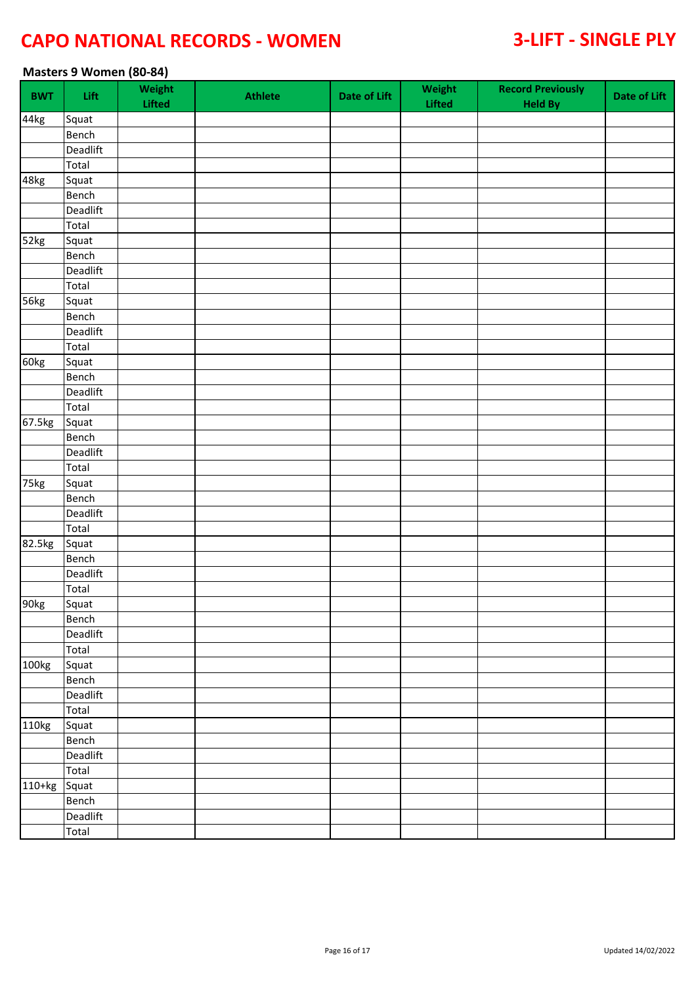### **Masters 9 Women (80-84)**

| <b>BWT</b> | Lift     | Weight<br><b>Lifted</b> | <b>Athlete</b> | <b>Date of Lift</b> | Weight<br>Lifted | <b>Record Previously</b><br><b>Held By</b> | Date of Lift |
|------------|----------|-------------------------|----------------|---------------------|------------------|--------------------------------------------|--------------|
| 44kg       | Squat    |                         |                |                     |                  |                                            |              |
|            | Bench    |                         |                |                     |                  |                                            |              |
|            | Deadlift |                         |                |                     |                  |                                            |              |
|            | Total    |                         |                |                     |                  |                                            |              |
| 48kg       | Squat    |                         |                |                     |                  |                                            |              |
|            | Bench    |                         |                |                     |                  |                                            |              |
|            | Deadlift |                         |                |                     |                  |                                            |              |
|            | Total    |                         |                |                     |                  |                                            |              |
| 52kg       | Squat    |                         |                |                     |                  |                                            |              |
|            | Bench    |                         |                |                     |                  |                                            |              |
|            | Deadlift |                         |                |                     |                  |                                            |              |
|            | Total    |                         |                |                     |                  |                                            |              |
| 56kg       | Squat    |                         |                |                     |                  |                                            |              |
|            | Bench    |                         |                |                     |                  |                                            |              |
|            | Deadlift |                         |                |                     |                  |                                            |              |
|            | Total    |                         |                |                     |                  |                                            |              |
| 60kg       | Squat    |                         |                |                     |                  |                                            |              |
|            | Bench    |                         |                |                     |                  |                                            |              |
|            | Deadlift |                         |                |                     |                  |                                            |              |
|            | Total    |                         |                |                     |                  |                                            |              |
| 67.5kg     | Squat    |                         |                |                     |                  |                                            |              |
|            | Bench    |                         |                |                     |                  |                                            |              |
|            | Deadlift |                         |                |                     |                  |                                            |              |
|            | Total    |                         |                |                     |                  |                                            |              |
| 75kg       | Squat    |                         |                |                     |                  |                                            |              |
|            | Bench    |                         |                |                     |                  |                                            |              |
|            | Deadlift |                         |                |                     |                  |                                            |              |
|            | Total    |                         |                |                     |                  |                                            |              |
| 82.5kg     | Squat    |                         |                |                     |                  |                                            |              |
|            | Bench    |                         |                |                     |                  |                                            |              |
|            | Deadlift |                         |                |                     |                  |                                            |              |
|            | Total    |                         |                |                     |                  |                                            |              |
|            | Squat    |                         |                |                     |                  |                                            |              |
| 90kg       | Bench    |                         |                |                     |                  |                                            |              |
|            | Deadlift |                         |                |                     |                  |                                            |              |
|            |          |                         |                |                     |                  |                                            |              |
|            | Total    |                         |                |                     |                  |                                            |              |
| 100kg      | Squat    |                         |                |                     |                  |                                            |              |
|            | Bench    |                         |                |                     |                  |                                            |              |
|            | Deadlift |                         |                |                     |                  |                                            |              |
|            | Total    |                         |                |                     |                  |                                            |              |
| 110kg      | Squat    |                         |                |                     |                  |                                            |              |
|            | Bench    |                         |                |                     |                  |                                            |              |
|            | Deadlift |                         |                |                     |                  |                                            |              |
|            | Total    |                         |                |                     |                  |                                            |              |
| $110+kg$   | Squat    |                         |                |                     |                  |                                            |              |
|            | Bench    |                         |                |                     |                  |                                            |              |
|            | Deadlift |                         |                |                     |                  |                                            |              |
|            | Total    |                         |                |                     |                  |                                            |              |